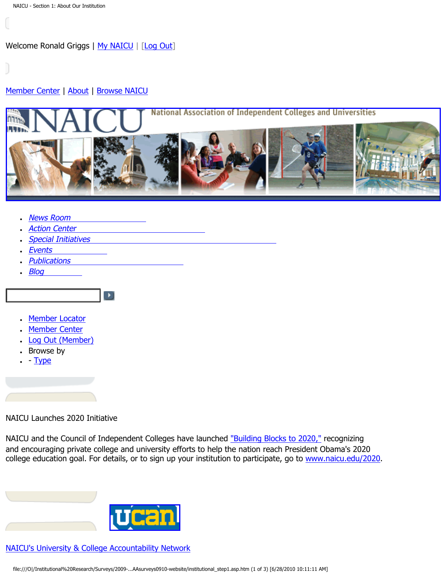# <span id="page-0-0"></span>[Member Center](http://naicu.edu/Member_Center/default.asp) | [About](http://naicu.edu/about/default.asp) | [Browse NAICU](http://naicu.edu/Browse_NAICU/default.asp)



- [News Room](http://naicu.edu/news_room/default.asp)
- **[Action Center](http://capwiz.com/naicu/home/)**
- [Special Initiatives](http://naicu.edu/special_initiatives/default.asp)

 $\blacktriangleright$ 

- **[Events](http://naicu.edu/events/default.asp)**
- **[Publications](http://naicu.edu/publications/default.asp)**
- $\cdot$  [Blog](http://naicu.edu/naicublog/default.asp)
- [Member Locator](http://naicu.edu/member_center/memberLocator.asp)
- [Member Center](http://naicu.edu/member_center/)
- [Log Out \(Member\)](http://naicu.edu/member_center/signout.asp)
- Browse by
- $\cdot$  - [Type](http://naicu.edu/member_center/memberNews_byType.asp)

# NAICU Launches 2020 Initiative

NAICU and the Council of Independent Colleges have launched ["Building Blocks to 2020,"](http://naicu.edu/news_room/naicu-council-of-independent-colleges-launch-college-access-success-initiative) recognizing and encouraging private college and university efforts to help the nation reach President Obama's 2020 college education goal. For details, or to sign up your institution to participate, go to [www.naicu.edu/2020](http://naicu.edu/2020).

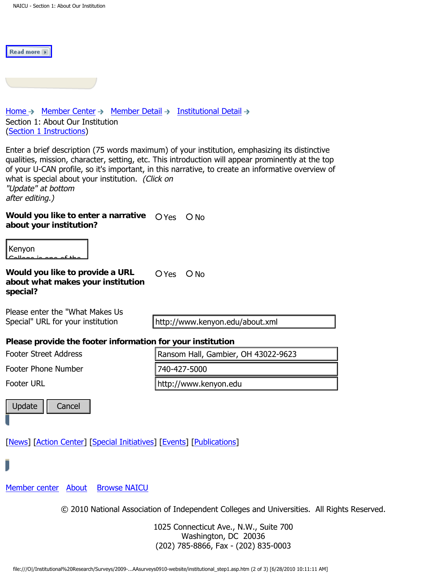| Read more                                                                                                                                                                     |                                                                                                                                                                                                                                                                                                         |
|-------------------------------------------------------------------------------------------------------------------------------------------------------------------------------|---------------------------------------------------------------------------------------------------------------------------------------------------------------------------------------------------------------------------------------------------------------------------------------------------------|
|                                                                                                                                                                               |                                                                                                                                                                                                                                                                                                         |
| Home $\rightarrow$ Member Center $\rightarrow$ Member Detail $\rightarrow$ Institutional Detail $\rightarrow$<br>Section 1: About Our Institution<br>(Section 1 Instructions) |                                                                                                                                                                                                                                                                                                         |
| what is special about your institution. (Click on<br>"Update" at bottom<br>after editing.)                                                                                    | Enter a brief description (75 words maximum) of your institution, emphasizing its distinctive<br>qualities, mission, character, setting, etc. This introduction will appear prominently at the top<br>of your U-CAN profile, so it's important, in this narrative, to create an informative overview of |
| Would you like to enter a narrative<br>about your institution?                                                                                                                | O Yes<br>$\bigcirc$ No                                                                                                                                                                                                                                                                                  |
| Kenyon                                                                                                                                                                        |                                                                                                                                                                                                                                                                                                         |
| Would you like to provide a URL<br>about what makes your institution<br>special?                                                                                              | O Yes<br>$\bigcirc$ No                                                                                                                                                                                                                                                                                  |
| Please enter the "What Makes Us<br>Special" URL for your institution                                                                                                          | http://www.kenyon.edu/about.xml                                                                                                                                                                                                                                                                         |
| Please provide the footer information for your institution                                                                                                                    |                                                                                                                                                                                                                                                                                                         |
| <b>Footer Street Address</b>                                                                                                                                                  | Ransom Hall, Gambier, OH 43022-9623                                                                                                                                                                                                                                                                     |
| <b>Footer Phone Number</b>                                                                                                                                                    | 740-427-5000                                                                                                                                                                                                                                                                                            |
| <b>Footer URL</b>                                                                                                                                                             | http://www.kenyon.edu                                                                                                                                                                                                                                                                                   |
| Update<br>Cancel                                                                                                                                                              |                                                                                                                                                                                                                                                                                                         |
| [News] [Action Center] [Special Initiatives] [Events] [Publications]                                                                                                          |                                                                                                                                                                                                                                                                                                         |
|                                                                                                                                                                               |                                                                                                                                                                                                                                                                                                         |
| Member center<br><b>Browse NAICU</b><br>About                                                                                                                                 |                                                                                                                                                                                                                                                                                                         |
|                                                                                                                                                                               | © 2010 National Association of Independent Colleges and Universities. All Rights Reserved                                                                                                                                                                                                               |
|                                                                                                                                                                               | 1025 Connecticut Ave., N.W., Suite 700<br>Washington, DC 20036<br>(202) 785-8866, Fax - (202) 835-0003                                                                                                                                                                                                  |
|                                                                                                                                                                               | file:///O /Institutional%20Research/Surveys/2009-AAsurveys0910-website/institutional_step1.asp.htm (2 of 3) [6/28/2010 10:11:11 AM]                                                                                                                                                                     |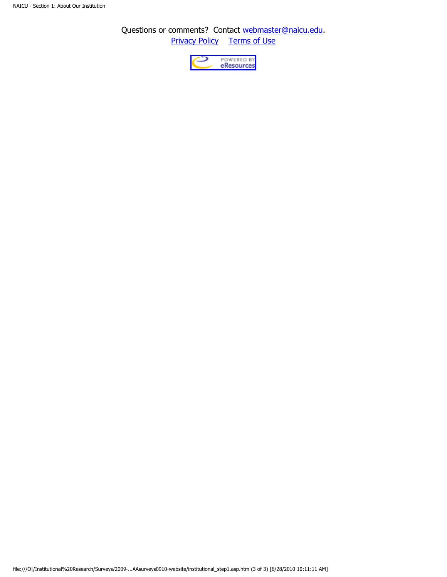Questions or comments? Contact [webmaster@naicu.edu](mailto:webmaster@naicu.edu). **Privacy Policy** [Terms of Use](http://naicu.edu/about/terms-of-use)

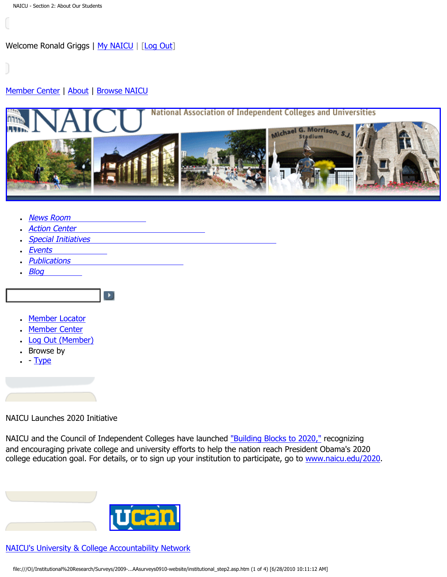# <span id="page-3-0"></span>[Member Center](http://naicu.edu/Member_Center/default.asp) | [About](http://naicu.edu/about/default.asp) | [Browse NAICU](http://naicu.edu/Browse_NAICU/default.asp)



- **[News Room](http://naicu.edu/news_room/default.asp)**
- **[Action Center](http://capwiz.com/naicu/home/)**
- **[Special Initiatives](http://naicu.edu/special_initiatives/default.asp)**

 $\blacktriangleright$ 

- **[Events](http://naicu.edu/events/default.asp)**
- **[Publications](http://naicu.edu/publications/default.asp)**
- [Blog](http://naicu.edu/naicublog/default.asp)
- [Member Locator](http://naicu.edu/member_center/memberLocator.asp)
- [Member Center](http://naicu.edu/member_center/)
- [Log Out \(Member\)](http://naicu.edu/member_center/signout.asp)
- Browse by
- $\cdot$  - [Type](http://naicu.edu/member_center/memberNews_byType.asp)

# NAICU Launches 2020 Initiative

NAICU and the Council of Independent Colleges have launched ["Building Blocks to 2020,"](http://naicu.edu/news_room/naicu-council-of-independent-colleges-launch-college-access-success-initiative) recognizing and encouraging private college and university efforts to help the nation reach President Obama's 2020 college education goal. For details, or to sign up your institution to participate, go to [www.naicu.edu/2020](http://naicu.edu/2020).

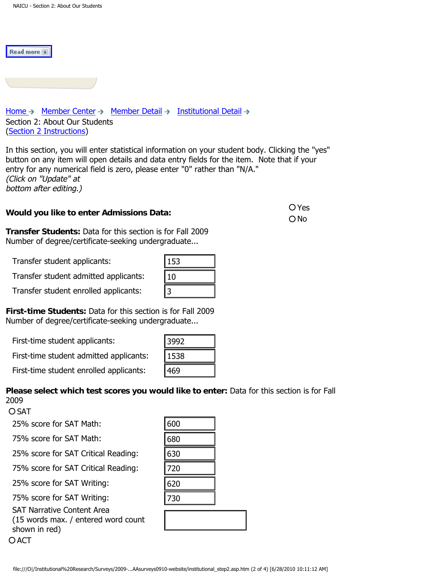Read more +



In this section, you will enter statistical information on your student body. Clicking the "yes" button on any item will open details and data entry fields for the item. Note that if your entry for any numerical field is zero, please enter "0" rather than "N/A." (Click on "Update" at bottom after editing.)

# **Would you like to enter Admissions Data: Would you like to enter Admissions Data:**

O<sub>No</sub>

**Transfer Students:** Data for this section is for Fall 2009 Number of degree/certificate-seeking undergraduate...

Transfer student applicants:

**Please select which test scores you would like to enter:** Data for this section is for Fall 2009

OSAT

| Transfer student applicants:                                                                                                        | 153  |  |
|-------------------------------------------------------------------------------------------------------------------------------------|------|--|
| Transfer student admitted applicants:                                                                                               | 10   |  |
| Transfer student enrolled applicants:                                                                                               | 3    |  |
| rst-time Students: Data for this section is for Fall 2009<br>umber of degree/certificate-seeking undergraduate                      |      |  |
| First-time student applicants:                                                                                                      | 3992 |  |
| First-time student admitted applicants:                                                                                             | 1538 |  |
| First-time student enrolled applicants:                                                                                             | 469  |  |
| ease select which test scores you would like to enter: Data for this section is for F<br>109<br>SAT                                 |      |  |
| 25% score for SAT Math:                                                                                                             | 600  |  |
| 75% score for SAT Math:                                                                                                             | 680  |  |
| 25% score for SAT Critical Reading:                                                                                                 | 630  |  |
| 75% score for SAT Critical Reading:                                                                                                 | 720  |  |
| 25% score for SAT Writing:                                                                                                          | 620  |  |
| 75% score for SAT Writing:                                                                                                          | 730  |  |
| <b>SAT Narrative Content Area</b><br>(15 words max. / entered word count<br>shown in red)<br><b>ACT</b>                             |      |  |
| file:///O /Institutional%20Research/Surveys/2009-AAsurveys0910-website/institutional_step2.asp.htm (2 of 4) [6/28/2010 10:11:12 AM] |      |  |
|                                                                                                                                     |      |  |

| IJF |  |  |  |
|-----|--|--|--|
|     |  |  |  |
|     |  |  |  |
|     |  |  |  |

| file:///O /Institutional%20Research/Surveys/2009-AAsurveys0910-website/institutional_step2.asp.htm (2 of 4) [6/28/2010 10:11:12 |  |  |  |
|---------------------------------------------------------------------------------------------------------------------------------|--|--|--|
|---------------------------------------------------------------------------------------------------------------------------------|--|--|--|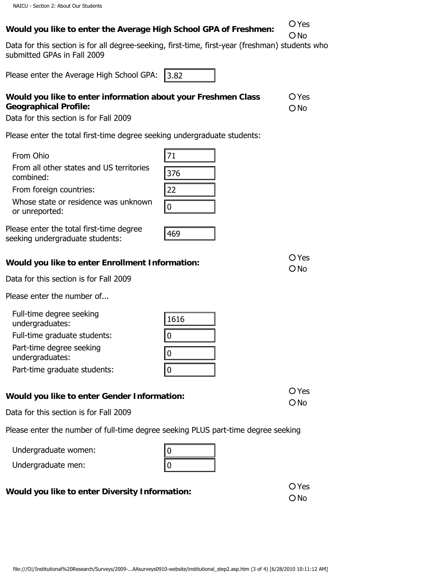| Would you like to enter the Average High School GPA of Freshmen: | O Yes |
|------------------------------------------------------------------|-------|
|                                                                  | ONO   |

Data for this section is for all degree-seeking, first-time, first-year (freshman) students who submitted GPAs in Fall 2009

Please enter the Average High School GPA:

# **Would you like to enter information about your Freshmen Class Geographical Profile:**  O Yes ONo esse enter the Average High School GPA: [3.82]<br>
could you like to enter information about your Freshmen Class OVes<br>
operaphical Profile: Control institution about your Freshmen Class OVes<br>
combined: the total first-time de

Data for this section is for Fall 2009

Please enter the total first-time degree seeking undergraduate students:

- From Ohio From all other states and US territories combined:
- From foreign countries:

| Whose state or residence was unknown |
|--------------------------------------|
| or unreported:                       |

Please enter the total first-time degree seeking undergraduate students:

| Would you like to enter Enrollment Information: | O Yes |
|-------------------------------------------------|-------|
|                                                 | ONO   |

469

1616

0

0

 $\overline{0}$ 

Data for this section is for Fall 2009

Please enter the number of...

Full-time degree seeking

undergraduates:

Full-time graduate students:

Part-time degree seeking

undergraduates:

|  | Part-time graduate students: |
|--|------------------------------|
|--|------------------------------|

# **Would you like to enter Gender Information: Would you like to enter Gender Information:**

Data for this section is for Fall 2009

Please enter the number of full-time degree seeking PLUS part-time degree seeking

Undergraduate women:

| 0 |  |
|---|--|
| 0 |  |

# **Would you like to enter Diversity Information:**  $\overline{O}$  Yes

O No

ONo

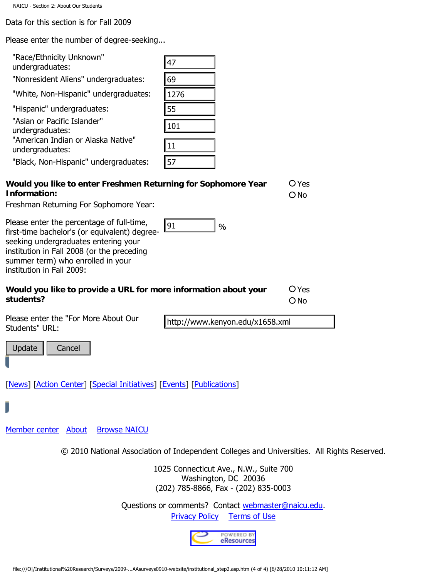Data for this section is for Fall 2009

Please enter the number of degree-seeking...

| "Race/Ethnicity Unknown"<br>undergraduates:                                                                                                                                                                           | 47                                                                                                     |                 |
|-----------------------------------------------------------------------------------------------------------------------------------------------------------------------------------------------------------------------|--------------------------------------------------------------------------------------------------------|-----------------|
| "Nonresident Aliens" undergraduates:                                                                                                                                                                                  | 69                                                                                                     |                 |
| "White, Non-Hispanic" undergraduates:                                                                                                                                                                                 | 1276                                                                                                   |                 |
| "Hispanic" undergraduates:                                                                                                                                                                                            | 55                                                                                                     |                 |
| "Asian or Pacific Islander"                                                                                                                                                                                           |                                                                                                        |                 |
| undergraduates:                                                                                                                                                                                                       | 101                                                                                                    |                 |
| "American Indian or Alaska Native"<br>undergraduates:                                                                                                                                                                 | 11                                                                                                     |                 |
| "Black, Non-Hispanic" undergraduates:                                                                                                                                                                                 | 57                                                                                                     |                 |
| Would you like to enter Freshmen Returning for Sophomore Year<br>Information:<br>Freshman Returning For Sophomore Year:                                                                                               |                                                                                                        | O Yes<br>$O$ No |
|                                                                                                                                                                                                                       |                                                                                                        |                 |
| Please enter the percentage of full-time,<br>first-time bachelor's (or equivalent) degree-<br>seeking undergraduates entering your<br>institution in Fall 2008 (or the preceding<br>summer term) who enrolled in your | 91<br>$\frac{0}{0}$                                                                                    |                 |
| institution in Fall 2009:                                                                                                                                                                                             |                                                                                                        |                 |
| Would you like to provide a URL for more information about your<br>students?                                                                                                                                          |                                                                                                        | O Yes<br>$O$ No |
| Please enter the "For More About Our<br>Students" URL:                                                                                                                                                                | http://www.kenyon.edu/x1658.xml                                                                        |                 |
| Update<br>Cancel                                                                                                                                                                                                      |                                                                                                        |                 |
| [News] [Action Center] [Special Initiatives] [Events] [Publications]                                                                                                                                                  |                                                                                                        |                 |
| J                                                                                                                                                                                                                     |                                                                                                        |                 |
| Member center About<br><b>Browse NAICU</b>                                                                                                                                                                            |                                                                                                        |                 |
|                                                                                                                                                                                                                       | © 2010 National Association of Independent Colleges and Universities. All Rights Reserved.             |                 |
|                                                                                                                                                                                                                       | 1025 Connecticut Ave., N.W., Suite 700<br>Washington, DC 20036<br>(202) 785-8866, Fax - (202) 835-0003 |                 |
|                                                                                                                                                                                                                       | Questions or comments? Contact webmaster@naicu.edu.<br><b>Privacy Policy Terms of Use</b>              |                 |
|                                                                                                                                                                                                                       | POWERED BY<br>eResources                                                                               |                 |
| file:///O /Institutional%20Research/Surveys/2009-AAsurveys0910-website/institutional_step2.asp.htm (4 of 4) [6/28/2010 10:11:12 AM]                                                                                   |                                                                                                        |                 |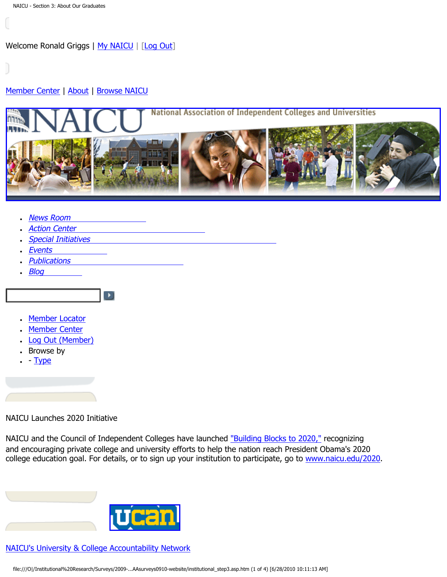# <span id="page-7-0"></span>[Member Center](http://naicu.edu/Member_Center/default.asp) | [About](http://naicu.edu/about/default.asp) | [Browse NAICU](http://naicu.edu/Browse_NAICU/default.asp)



- **[News Room](http://naicu.edu/news_room/default.asp)**
- **[Action Center](http://capwiz.com/naicu/home/)**
- [Special Initiatives](http://naicu.edu/special_initiatives/default.asp)

 $\blacktriangleright$ 

- **[Events](http://naicu.edu/events/default.asp)**
- **[Publications](http://naicu.edu/publications/default.asp)**
- $\cdot$  [Blog](http://naicu.edu/naicublog/default.asp)
- [Member Locator](http://naicu.edu/member_center/memberLocator.asp)
- [Member Center](http://naicu.edu/member_center/)
- [Log Out \(Member\)](http://naicu.edu/member_center/signout.asp)
- Browse by
- $\cdot$  - [Type](http://naicu.edu/member_center/memberNews_byType.asp)

# NAICU Launches 2020 Initiative

NAICU and the Council of Independent Colleges have launched ["Building Blocks to 2020,"](http://naicu.edu/news_room/naicu-council-of-independent-colleges-launch-college-access-success-initiative) recognizing and encouraging private college and university efforts to help the nation reach President Obama's 2020 college education goal. For details, or to sign up your institution to participate, go to [www.naicu.edu/2020](http://naicu.edu/2020).

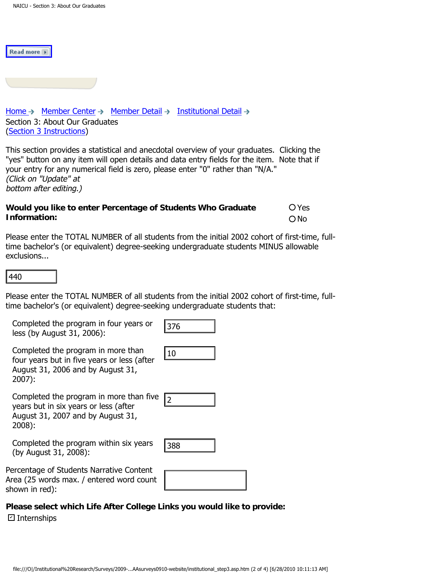Read more

[Home](http://naicu.edu/)  $\rightarrow$  [Member Center](http://naicu.edu/member_center/)  $\rightarrow$  [Member Detail](http://naicu.edu/member_center/id.432/member_detail.asp)  $\rightarrow$  [Institutional Detail](http://naicu.edu/member_center/id.432/institutional_detail.asp)  $\rightarrow$ Section 3: About Our Graduates [\(Section 3 Instructions\)](http://www.naicu.edu/special_initiatives/u-can-data-entry-guidelines#Sec3)

This section provides a statistical and anecdotal overview of your graduates. Clicking the "yes" button on any item will open details and data entry fields for the item. Note that if your entry for any numerical field is zero, please enter "0" rather than "N/A." (Click on "Update" at bottom after editing.)

### **Would you like to enter Percentage of Students Who Graduate Information:**  Yes O<sub>No</sub>

Please enter the TOTAL NUMBER of all students from the initial 2002 cohort of first-time, fulltime bachelor's (or equivalent) degree-seeking undergraduate students MINUS allowable exclusions...

Please enter the TOTAL NUMBER of all students from the initial 2002 cohort of first-time, fulltime bachelor's (or equivalent) degree-seeking undergraduate students that: file:///O|/Institutional%20Research/Surveys/2009-...AAsurveys0910-website/institutional\_step3.asp.htm (2 of 4) [6/28/2010 10:11:13 AM] <sup>440</sup> <sup>376</sup> <sup>102</sup>

Completed the program in four years or less (by August 31, 2006):

| s,<br>ر<br>, |  |
|--------------|--|
|              |  |

Completed the program in more than four years but in five years or less (after August 31, 2006 and by August 31, 2007):

Completed the program in more than five years but in six years or less (after August 31, 2007 and by August 31, 2008):

Completed the program within six years (by August 31, 2008):

Percentage of Students Narrative Content Area (25 words max. / entered word count shown in red):

**Please select which Life After College Links you would like to provide:** Internships ✔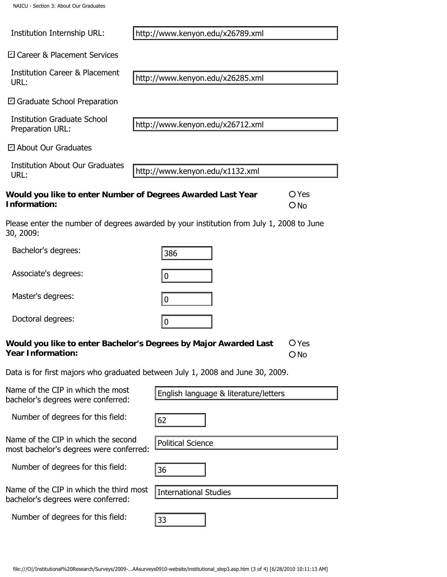| NAICU - Section 3: About Our Graduates                                         |                                                                                                                                     |                        |
|--------------------------------------------------------------------------------|-------------------------------------------------------------------------------------------------------------------------------------|------------------------|
| Institution Internship URL:                                                    | http://www.kenyon.edu/x26789.xml                                                                                                    |                        |
| □ Career & Placement Services                                                  |                                                                                                                                     |                        |
| <b>Institution Career &amp; Placement</b><br>URL:                              | http://www.kenyon.edu/x26285.xml                                                                                                    |                        |
| □ Graduate School Preparation                                                  |                                                                                                                                     |                        |
| <b>Institution Graduate School</b><br>Preparation URL:                         | http://www.kenyon.edu/x26712.xml                                                                                                    |                        |
| $\boxdot$ About Our Graduates                                                  |                                                                                                                                     |                        |
| <b>Institution About Our Graduates</b><br>URL:                                 | http://www.kenyon.edu/x1132.xml                                                                                                     |                        |
| Information:                                                                   | Would you like to enter Number of Degrees Awarded Last Year                                                                         | O Yes<br>$O$ No        |
| 30, 2009:                                                                      | Please enter the number of degrees awarded by your institution from July 1, 2008 to June                                            |                        |
| Bachelor's degrees:                                                            | 386                                                                                                                                 |                        |
| Associate's degrees:                                                           | $\mathbf 0$                                                                                                                         |                        |
| Master's degrees:                                                              | $\mathbf 0$                                                                                                                         |                        |
| Doctoral degrees:                                                              | 0                                                                                                                                   |                        |
| <b>Year Information:</b>                                                       | Would you like to enter Bachelor's Degrees by Major Awarded Last                                                                    | O Yes<br>$\bigcirc$ No |
|                                                                                | Data is for first majors who graduated between July 1, 2008 and June 30, 2009.                                                      |                        |
| Name of the CIP in which the most<br>bachelor's degrees were conferred:        | English language & literature/letters                                                                                               |                        |
| Number of degrees for this field:                                              | 62                                                                                                                                  |                        |
| Name of the CIP in which the second<br>most bachelor's degrees were conferred: | <b>Political Science</b>                                                                                                            |                        |
| Number of degrees for this field:                                              | 36                                                                                                                                  |                        |
| Name of the CIP in which the third most<br>bachelor's degrees were conferred:  | <b>International Studies</b>                                                                                                        |                        |
| Number of degrees for this field:                                              | 33                                                                                                                                  |                        |
|                                                                                |                                                                                                                                     |                        |
|                                                                                | file:///O /Institutional%20Research/Surveys/2009-AAsurveys0910-website/institutional_step3.asp.htm (3 of 4) [6/28/2010 10:11:13 AM] |                        |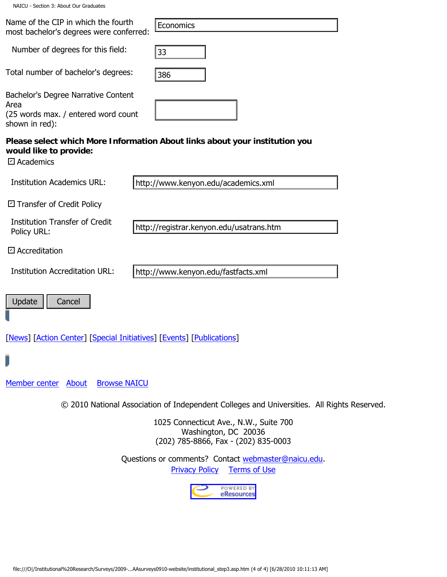|  |  | NAICU - Section 3: About Our Graduates |
|--|--|----------------------------------------|
|  |  |                                        |

| NAICU - Section 3: About Our Graduates                                                                                              |
|-------------------------------------------------------------------------------------------------------------------------------------|
| Name of the CIP in which the fourth<br>Economics<br>most bachelor's degrees were conferred:                                         |
| Number of degrees for this field:<br>33                                                                                             |
| Total number of bachelor's degrees:<br>386                                                                                          |
| Bachelor's Degree Narrative Content<br>Area<br>(25 words max. / entered word count<br>shown in red):                                |
| Please select which More Information About links about your institution you<br>would like to provide:<br>□ Academics                |
| <b>Institution Academics URL:</b><br>http://www.kenyon.edu/academics.xml                                                            |
| □ Transfer of Credit Policy                                                                                                         |
| <b>Institution Transfer of Credit</b><br>http://registrar.kenyon.edu/usatrans.htm<br>Policy URL:                                    |
| □ Accreditation                                                                                                                     |
| <b>Institution Accreditation URL:</b><br>http://www.kenyon.edu/fastfacts.xml                                                        |
| Update<br>Cancel                                                                                                                    |
| [News] [Action Center] [Special Initiatives] [Events] [Publications]                                                                |
|                                                                                                                                     |
| Member center About<br><b>Browse NAICU</b>                                                                                          |
| © 2010 National Association of Independent Colleges and Universities. All Rights Reserved.                                          |
| 1025 Connecticut Ave., N.W., Suite 700<br>Washington, DC 20036<br>(202) 785-8866, Fax - (202) 835-0003                              |
| Questions or comments? Contact webmaster@naicu.edu.<br><b>Privacy Policy</b><br><b>Terms of Use</b>                                 |
| POWERED BY<br>eResources                                                                                                            |
|                                                                                                                                     |
|                                                                                                                                     |
| file:///O /Institutional%20Research/Surveys/2009-AAsurveys0910-website/institutional_step3.asp.htm (4 of 4) [6/28/2010 10:11:13 AM] |
|                                                                                                                                     |

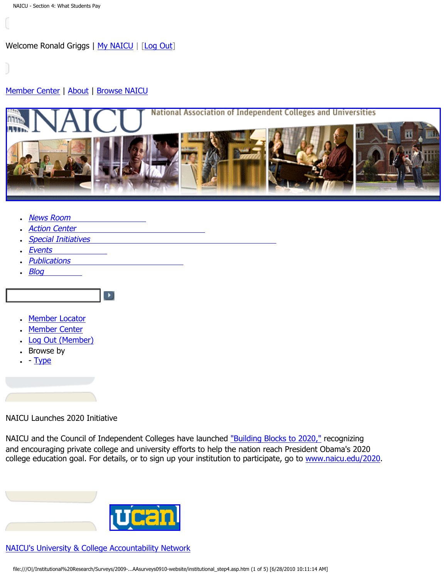# <span id="page-11-0"></span>[Member Center](http://naicu.edu/Member_Center/default.asp) | [About](http://naicu.edu/about/default.asp) | [Browse NAICU](http://naicu.edu/Browse_NAICU/default.asp)



- **[News Room](http://naicu.edu/news_room/default.asp)**
- **[Action Center](http://capwiz.com/naicu/home/)**
- **[Special Initiatives](http://naicu.edu/special_initiatives/default.asp)**

 $\blacktriangleright$ 

- **[Events](http://naicu.edu/events/default.asp)**
- **[Publications](http://naicu.edu/publications/default.asp)**
- $\cdot$  [Blog](http://naicu.edu/naicublog/default.asp)
- [Member Locator](http://naicu.edu/member_center/memberLocator.asp)
- [Member Center](http://naicu.edu/member_center/)
- [Log Out \(Member\)](http://naicu.edu/member_center/signout.asp)
- Browse by
- $\cdot$  - [Type](http://naicu.edu/member_center/memberNews_byType.asp)

# NAICU Launches 2020 Initiative

NAICU and the Council of Independent Colleges have launched ["Building Blocks to 2020,"](http://naicu.edu/news_room/naicu-council-of-independent-colleges-launch-college-access-success-initiative) recognizing and encouraging private college and university efforts to help the nation reach President Obama's 2020 college education goal. For details, or to sign up your institution to participate, go to [www.naicu.edu/2020](http://naicu.edu/2020).

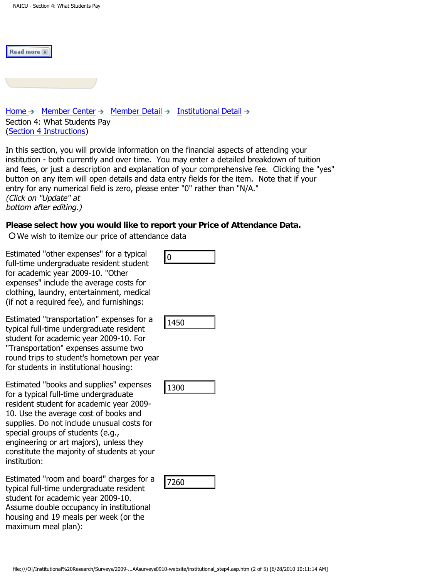| I<br>'ead more' |  |
|-----------------|--|
|                 |  |

[Home](http://naicu.edu/)  $\rightarrow$  [Member Center](http://naicu.edu/member_center/)  $\rightarrow$  [Member Detail](http://naicu.edu/member_center/id.432/member_detail.asp)  $\rightarrow$  [Institutional Detail](http://naicu.edu/member_center/id.432/institutional_detail.asp)  $\rightarrow$ Section 4: What Students Pay [\(Section 4 Instructions\)](http://www.naicu.edu/special_initiatives/u-can-data-entry-guidelines#Sec4)

In this section, you will provide information on the financial aspects of attending your institution - both currently and over time. You may enter a detailed breakdown of tuition and fees, or just a description and explanation of your comprehensive fee. Clicking the "yes" button on any item will open details and data entry fields for the item. Note that if your entry for any numerical field is zero, please enter "0" rather than "N/A." (Click on "Update" at bottom after editing.)

# **Please select how you would like to report your Price of Attendance Data.**

We wish to itemize our price of attendance data

Estimated "other expenses" for a typical full-time undergraduate resident student for academic year 2009-10. "Other expenses" include the average costs for clothing, laundry, entertainment, medical (if not a required fee), and furnishings:

Estimated "transportation" expenses for a typical full-time undergraduate resident student for academic year 2009-10. For "Transportation" expenses assume two round trips to student's hometown per year for students in institutional housing:

Estimated "books and supplies" expenses for a typical full-time undergraduate resident student for academic year 2009- 10. Use the average cost of books and supplies. Do not include unusual costs for special groups of students (e.g., engineering or art majors), unless they constitute the majority of students at your institution: film the undergraduate resident student<br>
Il three undergraduate resident student<br>
racedent vearage costs for<br>
racedent vearage costs for<br>
the numerical reduced fee), and furnishing:<br>
filmstated "transportation" expenses f

Estimated "room and board" charges for a typical full-time undergraduate resident student for academic year 2009-10. Assume double occupancy in institutional housing and 19 meals per week (or the maximum meal plan):

|--|

| - 3 |  |
|-----|--|
|-----|--|

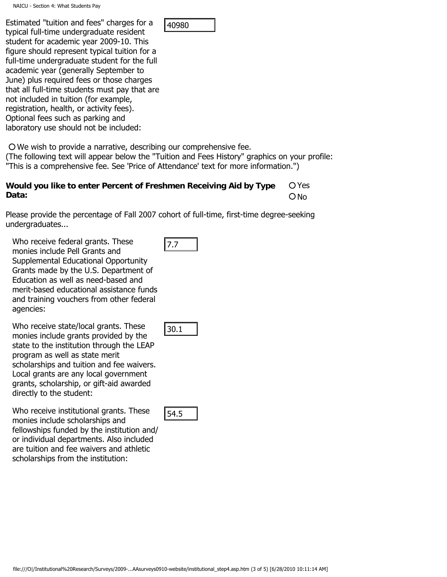Estimated "tuition and fees" charges for a typical full-time undergraduate resident student for academic year 2009-10. This figure should represent typical tuition for a full-time undergraduate student for the full academic year (generally September to June) plus required fees or those charges that all full-time students must pay that are not included in tuition (for example, registration, health, or activity fees). Optional fees such as parking and laboratory use should not be included: unlead untour and technology and the search of 5 of 5 of 5) and 14088<br>
the distribution of prescript typical untition (or 6 of 6)<br>
of the undergraduate student for the 0 of<br>
of the undergraduate student for the 0 of<br>
or ph

We wish to provide a narrative, describing our comprehensive fee.

(The following text will appear below the "Tuition and Fees History" graphics on your profile: "This is a comprehensive fee. See 'Price of Attendance' text for more information.")

### **Would you like to enter Percent of Freshmen Receiving Aid by Type Data:**  O Yes ONo

Please provide the percentage of Fall 2007 cohort of full-time, first-time degree-seeking undergraduates...

Who receive federal grants. These monies include Pell Grants and Supplemental Educational Opportunity Grants made by the U.S. Department of Education as well as need-based and merit-based educational assistance funds and training vouchers from other federal agencies:

Who receive state/local grants. These monies include grants provided by the state to the institution through the LEAP program as well as state merit scholarships and tuition and fee waivers. Local grants are any local government grants, scholarship, or gift-aid awarded directly to the student:

Who receive institutional grants. These monies include scholarships and fellowships funded by the institution and/ or individual departments. Also included are tuition and fee waivers and athletic scholarships from the institution: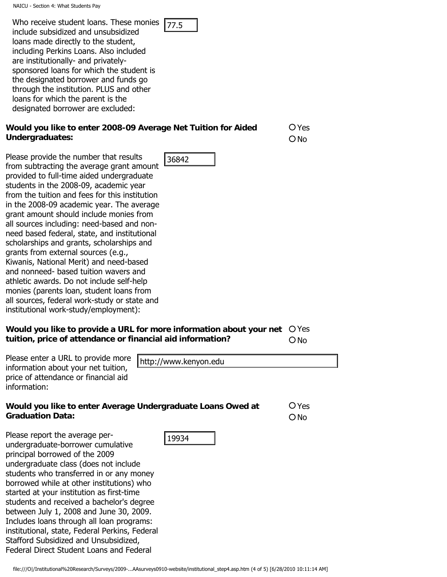| Who receive student loans. These monies $\sqrt{77.5}$ |  |
|-------------------------------------------------------|--|
| harihiadi unu har harihiadi u ahı ılmi                |  |

include subsidized and unsubsidized loans made directly to the student, including Perkins Loans. Also included are institutionally- and privatelysponsored loans for which the student is the designated borrower and funds go through the institution. PLUS and other loans for which the parent is the designated borrower are excluded:

# **Would you like to enter 2008-09 Average Net Tuition for Aided Undergraduates:**

O Yes O No

**O**Yes ONo

Please provide the number that results from subtracting the average grant amount provided to full-time aided undergraduate students in the 2008-09, academic year from the tuition and fees for this institution in the 2008-09 academic year. The average grant amount should include monies from all sources including: need-based and nonneed based federal, state, and institutional scholarships and grants, scholarships and grants from external sources (e.g., Kiwanis, National Merit) and need-based and nonneed- based tuition wavers and athletic awards. Do not include self-help monies (parents loan, student loans from all sources, federal work-study or state and institutional work-study/employment): film: the control of the most control of the most control of the most control of the most control of the most and the most control of the most control of the most control of the most control of the most control of the most

### Would you like to provide a URL for more information about your net O Yes **tuition, price of attendance or financial aid information?** O<sub>No</sub>

Please enter a URL to provide more information about your net tuition, price of attendance or financial aid information:

# **Would you like to enter Average Undergraduate Loans Owed at Graduation Data:**

Please report the average perundergraduate-borrower cumulative principal borrowed of the 2009 undergraduate class (does not include students who transferred in or any money borrowed while at other institutions) who started at your institution as first-time students and received a bachelor's degree between July 1, 2008 and June 30, 2009. Includes loans through all loan programs: institutional, state, Federal Perkins, Federal Stafford Subsidized and Unsubsidized, Federal Direct Student Loans and Federal

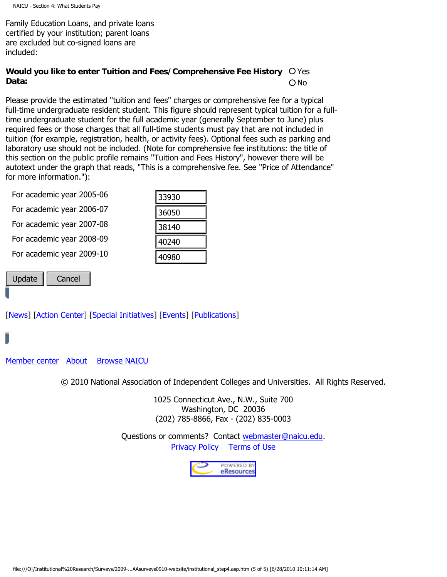Family Education Loans, and private loans certified by your institution; parent loans are excluded but co-signed loans are included:

### Would you like to enter Tuition and Fees/Comprehensive Fee History O Yes **Data:**  O No

Please provide the estimated "tuition and fees" charges or comprehensive fee for a typical full-time undergraduate resident student. This figure should represent typical tuition for a fulltime undergraduate student for the full academic year (generally September to June) plus required fees or those charges that all full-time students must pay that are not included in tuition (for example, registration, health, or activity fees). Optional fees such as parking and laboratory use should not be included. (Note for comprehensive fee institutions: the title of this section on the public profile remains "Tuition and Fees History", however there will be autotext under the graph that reads, "This is a comprehensive fee. See "Price of Attendance" for more information."):

| For academic year 2005-06                                                                                                           | 33930                 |                                                                             |
|-------------------------------------------------------------------------------------------------------------------------------------|-----------------------|-----------------------------------------------------------------------------|
| For academic year 2006-07                                                                                                           | 36050                 |                                                                             |
| For academic year 2007-08                                                                                                           | 38140                 |                                                                             |
| For academic year 2008-09                                                                                                           | 40240                 |                                                                             |
| For academic year 2009-10                                                                                                           | 40980                 |                                                                             |
| Update<br>Cancel                                                                                                                    |                       |                                                                             |
|                                                                                                                                     |                       |                                                                             |
| News] [Action Center] [Special Initiatives] [Events] [Publications]                                                                 |                       |                                                                             |
|                                                                                                                                     |                       |                                                                             |
|                                                                                                                                     |                       |                                                                             |
| lember center About<br><b>Browse NAICU</b>                                                                                          |                       |                                                                             |
|                                                                                                                                     |                       | © 2010 National Association of Independent Colleges and Universities. All I |
|                                                                                                                                     |                       | 1025 Connecticut Ave., N.W., Suite 700                                      |
|                                                                                                                                     |                       | Washington, DC 20036<br>(202) 785-8866, Fax - (202) 835-0003                |
|                                                                                                                                     |                       | Questions or comments? Contact webmaster@naicu.edu.                         |
|                                                                                                                                     | <b>Privacy Policy</b> | <b>Terms of Use</b>                                                         |
|                                                                                                                                     |                       | POWERED BY<br>eResources                                                    |
|                                                                                                                                     |                       |                                                                             |
|                                                                                                                                     |                       |                                                                             |
|                                                                                                                                     |                       |                                                                             |
|                                                                                                                                     |                       |                                                                             |
|                                                                                                                                     |                       |                                                                             |
| file:///O /Institutional%20Research/Surveys/2009-AAsurveys0910-website/institutional step4.asp.htm (5 of 5) [6/28/2010 10:11:14 AM] |                       |                                                                             |

| 33930 |  |
|-------|--|
| 36050 |  |
| 38140 |  |
| 40240 |  |
| 40980 |  |

© 2010 National Association of Independent Colleges and Universities. All Rights Reserved.

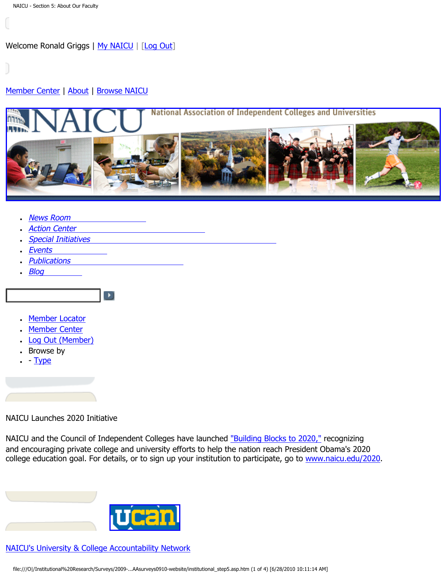# <span id="page-16-0"></span>[Member Center](http://naicu.edu/Member_Center/default.asp) | [About](http://naicu.edu/about/default.asp) | [Browse NAICU](http://naicu.edu/Browse_NAICU/default.asp)



- **[News Room](http://naicu.edu/news_room/default.asp)**
- **[Action Center](http://capwiz.com/naicu/home/)**
- **[Special Initiatives](http://naicu.edu/special_initiatives/default.asp)**

 $\blacktriangleright$ 

- **[Events](http://naicu.edu/events/default.asp)**
- **[Publications](http://naicu.edu/publications/default.asp)**
- $\cdot$  [Blog](http://naicu.edu/naicublog/default.asp)
- [Member Locator](http://naicu.edu/member_center/memberLocator.asp)
- [Member Center](http://naicu.edu/member_center/)
- [Log Out \(Member\)](http://naicu.edu/member_center/signout.asp)
- Browse by
- $\cdot$  - [Type](http://naicu.edu/member_center/memberNews_byType.asp)

# NAICU Launches 2020 Initiative

NAICU and the Council of Independent Colleges have launched ["Building Blocks to 2020,"](http://naicu.edu/news_room/naicu-council-of-independent-colleges-launch-college-access-success-initiative) recognizing and encouraging private college and university efforts to help the nation reach President Obama's 2020 college education goal. For details, or to sign up your institution to participate, go to [www.naicu.edu/2020](http://naicu.edu/2020).

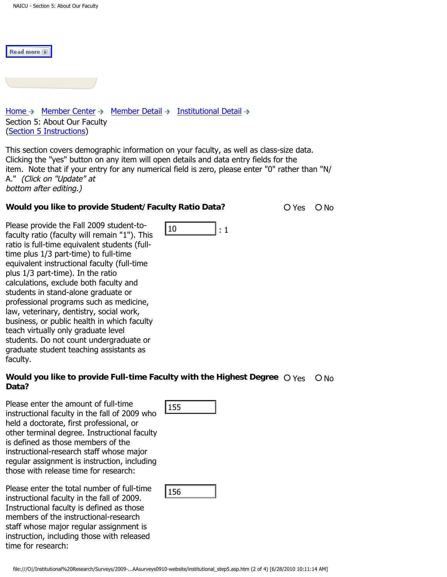Read more

| Home $\rightarrow$ Member Center $\rightarrow$ Member Detail $\rightarrow$ Institutional Detail<br>Section 5: About Our Faculty<br>(Section 5 Instructions) |  |
|-------------------------------------------------------------------------------------------------------------------------------------------------------------|--|
|                                                                                                                                                             |  |

This section covers demographic information on your faculty, as well as class-size data. Clicking the "yes" button on any item will open details and data entry fields for the item. Note that if your entry for any numerical field is zero, please enter "0" rather than "N/ A." (Click on "Update" at bottom after editing.)

 $\begin{array}{ccc} 10 & & & 1:1 \end{array}$ 

# **Would you like to provide Student/Faculty Ratio Data?** 20 Yes O No

Please provide the Fall 2009 student-tofaculty ratio (faculty will remain "1"). This ratio is full-time equivalent students (fulltime plus 1/3 part-time) to full-time equivalent instructional faculty (full-time plus 1/3 part-time). In the ratio calculations, exclude both faculty and students in stand-alone graduate or professional programs such as medicine, law, veterinary, dentistry, social work, business, or public health in which faculty teach virtually only graduate level students. Do not count undergraduate or graduate student teaching assistants as faculty. file: the rain 2009 submit of the required to the full the equivalent students full-<br>tulty ratio (faculty will remain that the full-<br>time points in structional faculty (full-time<br>pivalent instructional faculty (full-time<br>s

# Would you like to provide Full-time Faculty with the Highest Degree  $\bigcirc$  <sub>Yes  $\bigcirc$  No Data?</sub>

Please enter the amount of full-time instructional faculty in the fall of 2009 who held a doctorate, first professional, or other terminal degree. Instructional faculty is defined as those members of the instructional-research staff whose major regular assignment is instruction, including those with release time for research:

Please enter the total number of full-time instructional faculty in the fall of 2009. Instructional faculty is defined as those members of the instructional-research staff whose major regular assignment is instruction, including those with released time for research:

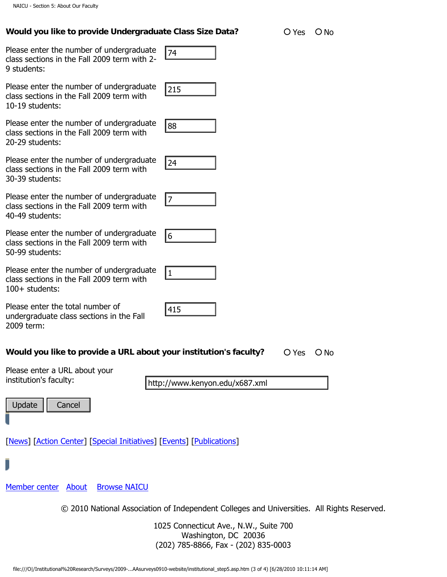# **Would you like to provide Undergraduate Class Size Data?** O Yes O No

| Please enter the number of undergraduate<br>class sections in the Fall 2009 term with 2-<br>9 students:  | 74                                                                                                                                  |
|----------------------------------------------------------------------------------------------------------|-------------------------------------------------------------------------------------------------------------------------------------|
| Please enter the number of undergraduate<br>class sections in the Fall 2009 term with<br>10-19 students: | 215                                                                                                                                 |
| Please enter the number of undergraduate<br>class sections in the Fall 2009 term with<br>20-29 students: | 88                                                                                                                                  |
| Please enter the number of undergraduate<br>class sections in the Fall 2009 term with<br>30-39 students: | 24                                                                                                                                  |
| Please enter the number of undergraduate<br>class sections in the Fall 2009 term with<br>40-49 students: | 17                                                                                                                                  |
| Please enter the number of undergraduate<br>class sections in the Fall 2009 term with<br>50-99 students: | 6                                                                                                                                   |
| Please enter the number of undergraduate<br>class sections in the Fall 2009 term with<br>100+ students:  | 1                                                                                                                                   |
| Please enter the total number of<br>undergraduate class sections in the Fall<br>2009 term:               | 415                                                                                                                                 |
| Would you like to provide a URL about your institution's faculty?                                        | O Yes<br>ΟN                                                                                                                         |
| Please enter a URL about your                                                                            |                                                                                                                                     |
| institution's faculty:                                                                                   | http://www.kenyon.edu/x687.xml                                                                                                      |
| Update<br>Cancel                                                                                         |                                                                                                                                     |
| [News] [Action Center] [Special Initiatives] [Events] [Publications]                                     |                                                                                                                                     |
|                                                                                                          |                                                                                                                                     |
| Member center About<br><b>Browse NAICU</b>                                                               |                                                                                                                                     |
|                                                                                                          | © 2010 National Association of Independent Colleges and Universities. All I                                                         |
|                                                                                                          | 1025 Connecticut Ave., N.W., Suite 700<br>Washington, DC 20036<br>(202) 785-8866, Fax - (202) 835-0003                              |
|                                                                                                          | file:///O /Institutional%20Research/Surveys/2009-AAsurveys0910-website/institutional_step5.asp.htm (3 of 4) [6/28/2010 10:11:14 AM] |

| 415 |  |  |
|-----|--|--|

# **Would you like to provide a URL about your institution's faculty?** O Yes O No

| Update | t ancel |
|--------|---------|
|--------|---------|

© 2010 National Association of Independent Colleges and Universities. All Rights Reserved.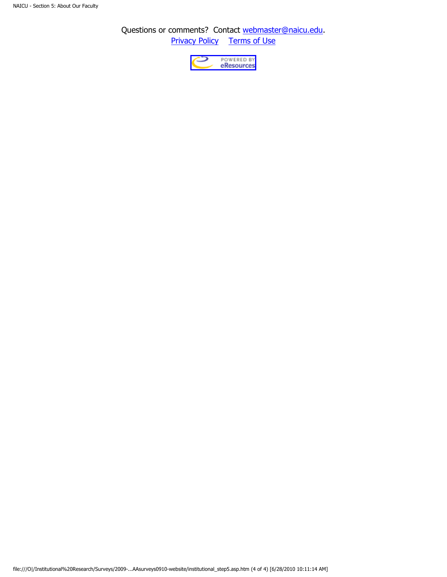Questions or comments? Contact [webmaster@naicu.edu](mailto:webmaster@naicu.edu). **Privacy Policy** [Terms of Use](http://naicu.edu/about/terms-of-use)

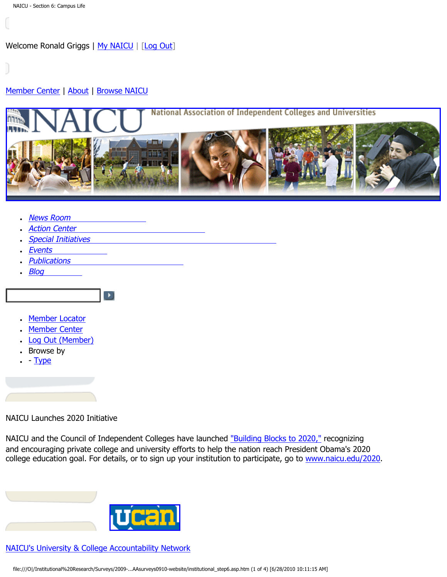# <span id="page-20-0"></span>[Member Center](http://naicu.edu/Member_Center/default.asp) | [About](http://naicu.edu/about/default.asp) | [Browse NAICU](http://naicu.edu/Browse_NAICU/default.asp)



- **[News Room](http://naicu.edu/news_room/default.asp)**
- **[Action Center](http://capwiz.com/naicu/home/)**
- [Special Initiatives](http://naicu.edu/special_initiatives/default.asp)

 $\blacktriangleright$ 

- **[Events](http://naicu.edu/events/default.asp)**
- **[Publications](http://naicu.edu/publications/default.asp)**
- $-Blog$  $-Blog$
- [Member Locator](http://naicu.edu/member_center/memberLocator.asp)
- [Member Center](http://naicu.edu/member_center/)
- [Log Out \(Member\)](http://naicu.edu/member_center/signout.asp)
- Browse by
- $\cdot$  - [Type](http://naicu.edu/member_center/memberNews_byType.asp)

# NAICU Launches 2020 Initiative

NAICU and the Council of Independent Colleges have launched ["Building Blocks to 2020,"](http://naicu.edu/news_room/naicu-council-of-independent-colleges-launch-college-access-success-initiative) recognizing and encouraging private college and university efforts to help the nation reach President Obama's 2020 college education goal. For details, or to sign up your institution to participate, go to [www.naicu.edu/2020](http://naicu.edu/2020).

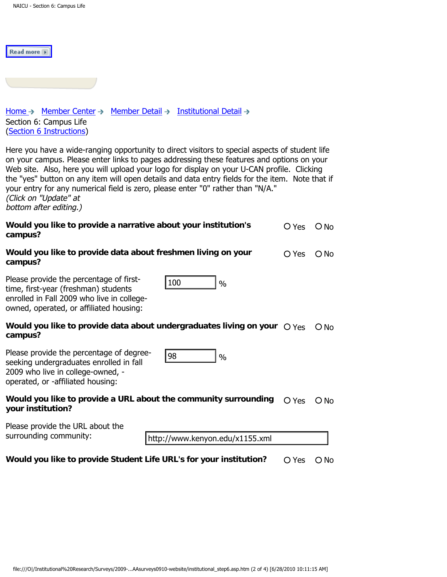| Read more                                                                                                                                                                                                                                                                                                                                                                                                                                                                                                                          |       |               |  |
|------------------------------------------------------------------------------------------------------------------------------------------------------------------------------------------------------------------------------------------------------------------------------------------------------------------------------------------------------------------------------------------------------------------------------------------------------------------------------------------------------------------------------------|-------|---------------|--|
|                                                                                                                                                                                                                                                                                                                                                                                                                                                                                                                                    |       |               |  |
| Member Detail $\rightarrow$ Institutional Detail $\rightarrow$<br>Home $\rightarrow$ Member Center $\rightarrow$<br>Section 6: Campus Life<br>(Section 6 Instructions)                                                                                                                                                                                                                                                                                                                                                             |       |               |  |
| Here you have a wide-ranging opportunity to direct visitors to special aspects of student life<br>on your campus. Please enter links to pages addressing these features and options on your<br>Web site. Also, here you will upload your logo for display on your U-CAN profile. Clicking<br>the "yes" button on any item will open details and data entry fields for the item. Note that if<br>your entry for any numerical field is zero, please enter "0" rather than "N/A."<br>(Click on "Update" at<br>bottom after editing.) |       |               |  |
| Would you like to provide a narrative about your institution's<br>campus?                                                                                                                                                                                                                                                                                                                                                                                                                                                          | O Yes | $\bigcirc$ No |  |
| Would you like to provide data about freshmen living on your<br>campus?                                                                                                                                                                                                                                                                                                                                                                                                                                                            | O Yes | $\bigcirc$ No |  |
| Please provide the percentage of first-<br>100<br>$\frac{0}{0}$<br>time, first-year (freshman) students<br>enrolled in Fall 2009 who live in college-<br>owned, operated, or affiliated housing:                                                                                                                                                                                                                                                                                                                                   |       |               |  |
| Would you like to provide data about undergraduates living on your $\bigcirc$ Yes<br>campus?                                                                                                                                                                                                                                                                                                                                                                                                                                       |       | $\bigcirc$ No |  |
| Please provide the percentage of degree-<br>98<br>$\frac{0}{0}$<br>seeking undergraduates enrolled in fall<br>2009 who live in college-owned, -<br>operated, or -affiliated housing:                                                                                                                                                                                                                                                                                                                                               |       |               |  |
| Would you like to provide a URL about the community surrounding<br>your institution?                                                                                                                                                                                                                                                                                                                                                                                                                                               | O Yes | $\bigcirc$ No |  |
| Please provide the URL about the<br>surrounding community:<br>http://www.kenyon.edu/x1155.xml                                                                                                                                                                                                                                                                                                                                                                                                                                      |       |               |  |
| Would you like to provide Student Life URL's for your institution?                                                                                                                                                                                                                                                                                                                                                                                                                                                                 | O Yes | $O$ No        |  |
|                                                                                                                                                                                                                                                                                                                                                                                                                                                                                                                                    |       |               |  |
| file:///O /Institutional%20Research/Surveys/2009-AAsurveys0910-website/institutional_step6.asp.htm (2 of 4) [6/28/2010 10:11:15 AM]                                                                                                                                                                                                                                                                                                                                                                                                |       |               |  |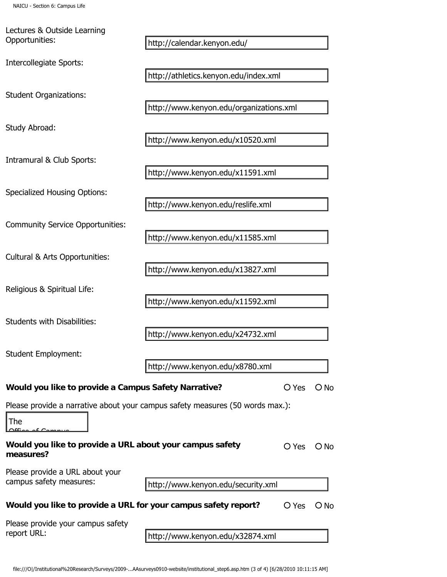Lectures & Outside Learning Opportunities:

| l The |                                         |
|-------|-----------------------------------------|
|       | $\triangle$ ffine of $\triangle$ months |
|       |                                         |

| http://calendar.kenyon.edu/           |                                                                                                                                                                                                                                                                                                                                                                                                                                                                                                                                                  |
|---------------------------------------|--------------------------------------------------------------------------------------------------------------------------------------------------------------------------------------------------------------------------------------------------------------------------------------------------------------------------------------------------------------------------------------------------------------------------------------------------------------------------------------------------------------------------------------------------|
|                                       |                                                                                                                                                                                                                                                                                                                                                                                                                                                                                                                                                  |
| http://athletics.kenyon.edu/index.xml |                                                                                                                                                                                                                                                                                                                                                                                                                                                                                                                                                  |
|                                       |                                                                                                                                                                                                                                                                                                                                                                                                                                                                                                                                                  |
|                                       |                                                                                                                                                                                                                                                                                                                                                                                                                                                                                                                                                  |
|                                       |                                                                                                                                                                                                                                                                                                                                                                                                                                                                                                                                                  |
|                                       |                                                                                                                                                                                                                                                                                                                                                                                                                                                                                                                                                  |
| http://www.kenyon.edu/x11591.xml      |                                                                                                                                                                                                                                                                                                                                                                                                                                                                                                                                                  |
|                                       |                                                                                                                                                                                                                                                                                                                                                                                                                                                                                                                                                  |
|                                       |                                                                                                                                                                                                                                                                                                                                                                                                                                                                                                                                                  |
|                                       |                                                                                                                                                                                                                                                                                                                                                                                                                                                                                                                                                  |
|                                       |                                                                                                                                                                                                                                                                                                                                                                                                                                                                                                                                                  |
|                                       |                                                                                                                                                                                                                                                                                                                                                                                                                                                                                                                                                  |
|                                       |                                                                                                                                                                                                                                                                                                                                                                                                                                                                                                                                                  |
|                                       |                                                                                                                                                                                                                                                                                                                                                                                                                                                                                                                                                  |
|                                       |                                                                                                                                                                                                                                                                                                                                                                                                                                                                                                                                                  |
|                                       |                                                                                                                                                                                                                                                                                                                                                                                                                                                                                                                                                  |
|                                       |                                                                                                                                                                                                                                                                                                                                                                                                                                                                                                                                                  |
| http://www.kenyon.edu/x8780.xml       |                                                                                                                                                                                                                                                                                                                                                                                                                                                                                                                                                  |
| $O$ Yes                               | $O$ No                                                                                                                                                                                                                                                                                                                                                                                                                                                                                                                                           |
|                                       |                                                                                                                                                                                                                                                                                                                                                                                                                                                                                                                                                  |
|                                       |                                                                                                                                                                                                                                                                                                                                                                                                                                                                                                                                                  |
|                                       |                                                                                                                                                                                                                                                                                                                                                                                                                                                                                                                                                  |
|                                       | $\bigcirc$ No                                                                                                                                                                                                                                                                                                                                                                                                                                                                                                                                    |
|                                       |                                                                                                                                                                                                                                                                                                                                                                                                                                                                                                                                                  |
| http://www.kenyon.edu/security.xml    |                                                                                                                                                                                                                                                                                                                                                                                                                                                                                                                                                  |
| O Yes                                 | $O$ No                                                                                                                                                                                                                                                                                                                                                                                                                                                                                                                                           |
|                                       |                                                                                                                                                                                                                                                                                                                                                                                                                                                                                                                                                  |
|                                       |                                                                                                                                                                                                                                                                                                                                                                                                                                                                                                                                                  |
|                                       | http://www.kenyon.edu/organizations.xml<br>http://www.kenyon.edu/x10520.xml<br>http://www.kenyon.edu/reslife.xml<br>http://www.kenyon.edu/x11585.xml<br>http://www.kenyon.edu/x13827.xml<br>http://www.kenyon.edu/x11592.xml<br>http://www.kenyon.edu/x24732.xml<br>Would you like to provide a Campus Safety Narrative?<br>Please provide a narrative about your campus safety measures (50 words max.):<br>Would you like to provide a URL about your campus safety<br>O Yes<br>Would you like to provide a URL for your campus safety report? |

| Please provide a URL about your |
|---------------------------------|
| campus safety measures:         |